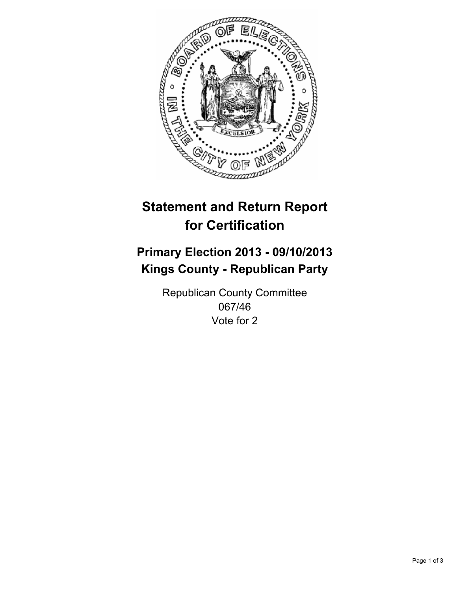

# **Statement and Return Report for Certification**

## **Primary Election 2013 - 09/10/2013 Kings County - Republican Party**

Republican County Committee 067/46 Vote for 2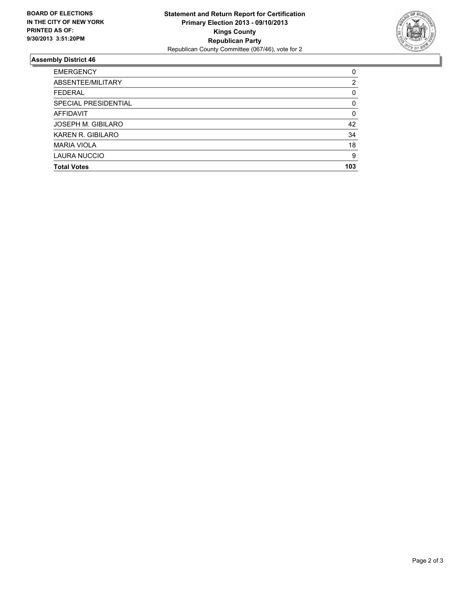

### **Assembly District 46**

| <b>EMERGENCY</b>          | 0   |
|---------------------------|-----|
| ABSENTEE/MILITARY         | 2   |
| <b>FEDERAL</b>            | 0   |
| SPECIAL PRESIDENTIAL      | 0   |
| <b>AFFIDAVIT</b>          | 0   |
| <b>JOSEPH M. GIBILARO</b> | 42  |
| KAREN R. GIBILARO         | 34  |
| <b>MARIA VIOLA</b>        | 18  |
| <b>LAURA NUCCIO</b>       | 9   |
| <b>Total Votes</b>        | 103 |